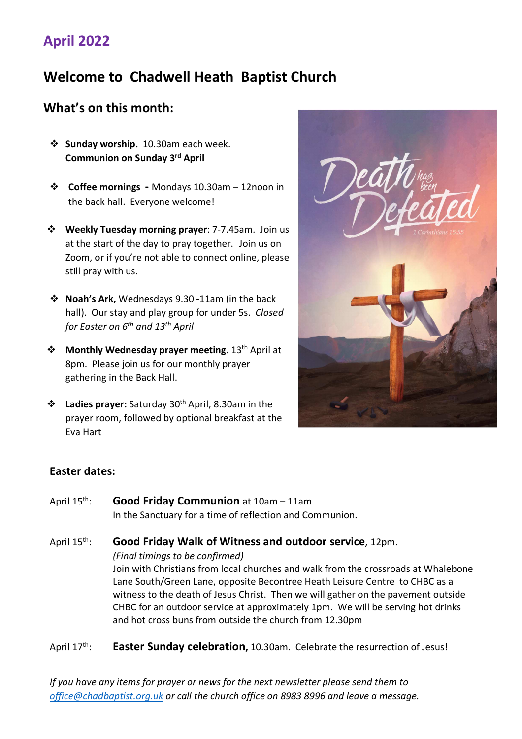## **April 2022**

# **Welcome to Chadwell Heath Baptist Church**

### **What's on this month:**

- **Sunday worship.** 10.30am each week. **Communion on Sunday 3rd April**
- **Coffee mornings** Mondays 10.30am 12noon in the back hall. Everyone welcome!
- **Weekly Tuesday morning prayer**: 7-7.45am. Join us at the start of the day to pray together. Join us on Zoom, or if you're not able to connect online, please still pray with us.
- **Noah's Ark,** Wednesdays 9.30 -11am (in the back hall). Our stay and play group for under 5s. *Closed for Easter on 6th and 13th April*
- **❖** Monthly Wednesday prayer meeting. 13<sup>th</sup> April at 8pm. Please join us for our monthly prayer gathering in the Back Hall.
- **Ladies prayer:** Saturday 30th April, 8.30am in the prayer room, followed by optional breakfast at the Eva Hart



#### **Easter dates:**

April 15th: **Good Friday Communion** at 10am – 11am In the Sanctuary for a time of reflection and Communion.

April 15th: **Good Friday Walk of Witness and outdoor service**, 12pm. *(Final timings to be confirmed)* Join with Christians from local churches and walk from the crossroads at Whalebone Lane South/Green Lane, opposite Becontree Heath Leisure Centre to CHBC as a witness to the death of Jesus Christ. Then we will gather on the pavement outside CHBC for an outdoor service at approximately 1pm. We will be serving hot drinks and hot cross buns from outside the church from 12.30pm

April 17<sup>th</sup>: **Easter Sunday celebration,** 10.30am. Celebrate the resurrection of Jesus!

*If you have any items for prayer or news for the next newsletter please send them to office@chadbaptist.org.uk or call the church office on 8983 8996 and leave a message.*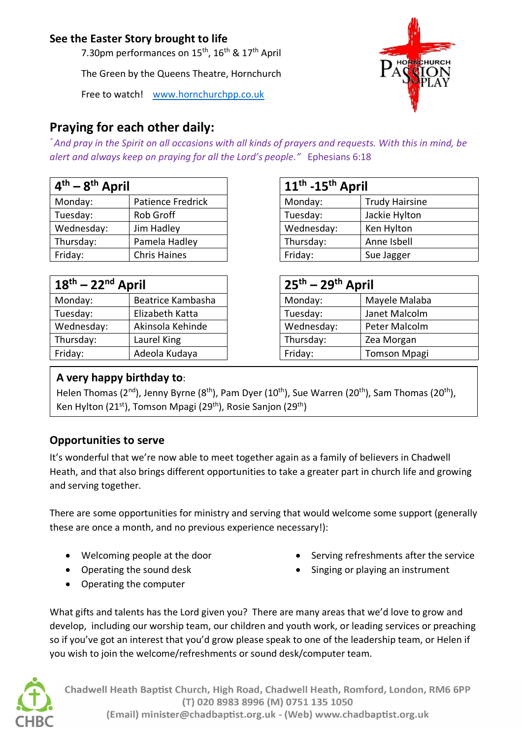### **See the Easter Story brought to life**

7.30pm performances on 15<sup>th</sup>, 16<sup>th</sup> & 17<sup>th</sup> April

The Green by the Queens Theatre, Hornchurch

Free to watch! www.hornchurchpp.co.uk

## **Praying for each other daily:**

*" And pray in the Spirit on all occasions with all kinds of prayers and requests. With this in mind, be alert and always keep on praying for all the Lord's people."* Ephesians 6:18

| $4th - 8th$ April |                     | $11th$ -15 <sup>th</sup> April |                       |
|-------------------|---------------------|--------------------------------|-----------------------|
| Monday:           | Patience Fredrick   | Monday:                        | <b>Trudy Hairsine</b> |
| Tuesday:          | Rob Groff           | Tuesday:                       | Jackie Hylton         |
| Wednesday:        | Jim Hadley          | Wednesday:                     | Ken Hylton            |
| Thursday:         | Pamela Hadley       | Thursday:                      | Anne Isbell           |
| Friday:           | <b>Chris Haines</b> | Friday:                        | Sue Jagger            |

| $18th - 22nd$ April |                   | $25th - 29th$ April |                     |
|---------------------|-------------------|---------------------|---------------------|
| Monday:             | Beatrice Kambasha | Monday:             | Mayele Malaba       |
| Tuesday:            | Elizabeth Katta   | Tuesday:            | Janet Malcolm       |
| Wednesday:          | Akinsola Kehinde  | Wednesday:          | Peter Malcolm       |
| Thursday:           | Laurel King       | Thursday:           | Zea Morgan          |
| Friday:             | Adeola Kudaya     | Friday:             | <b>Tomson Mpagi</b> |

| 11 <sup>th</sup> -15 <sup>th</sup> April |                       |  |  |  |
|------------------------------------------|-----------------------|--|--|--|
| Monday:                                  | <b>Trudy Hairsine</b> |  |  |  |
| Tuesday:                                 | Jackie Hylton         |  |  |  |
| Wednesday:                               | Ken Hylton            |  |  |  |
| Thursday:                                | Anne Isbell           |  |  |  |
| Friday:                                  | Sue Jagger            |  |  |  |

| $25th - 29th$ April |                     |  |  |
|---------------------|---------------------|--|--|
| Monday:             | Mayele Malaba       |  |  |
| Tuesday:            | Janet Malcolm       |  |  |
| Wednesday:          | Peter Malcolm       |  |  |
| Thursday:           | Zea Morgan          |  |  |
| Friday:             | <b>Tomson Mpagi</b> |  |  |

#### **A very happy birthday to**:

Helen Thomas (2<sup>nd</sup>), Jenny Byrne (8<sup>th</sup>), Pam Dyer (10<sup>th</sup>), Sue Warren (20<sup>th</sup>), Sam Thomas (20<sup>th</sup>), Ken Hylton (21<sup>st</sup>), Tomson Mpagi (29<sup>th</sup>), Rosie Sanjon (29<sup>th</sup>)

### **Opportunities to serve**

It's wonderful that we're now able to meet together again as a family of believers in Chadwell Heath, and that also brings different opportunities to take a greater part in church life and growing and serving together.

There are some opportunities for ministry and serving that would welcome some support (generally these are once a month, and no previous experience necessary!):

- Welcoming people at the door
- Operating the sound desk
- Operating the computer
- Serving refreshments after the service
- Singing or playing an instrument

What gifts and talents has the Lord given you? There are many areas that we'd love to grow and develop, including our worship team, our children and youth work, or leading services or preaching so if you've got an interest that you'd grow please speak to one of the leadership team, or Helen if you wish to join the welcome/refreshments or sound desk/computer team.



Chadwell Heath Baptist Church, High Road, Chadwell Heath, Romford, London, RM6 6PP (T) 020 8983 8996 (M) 0751 135 1050 (Email) minister@chadbaptist.org.uk - (Web) www.chadbaptist.org.uk